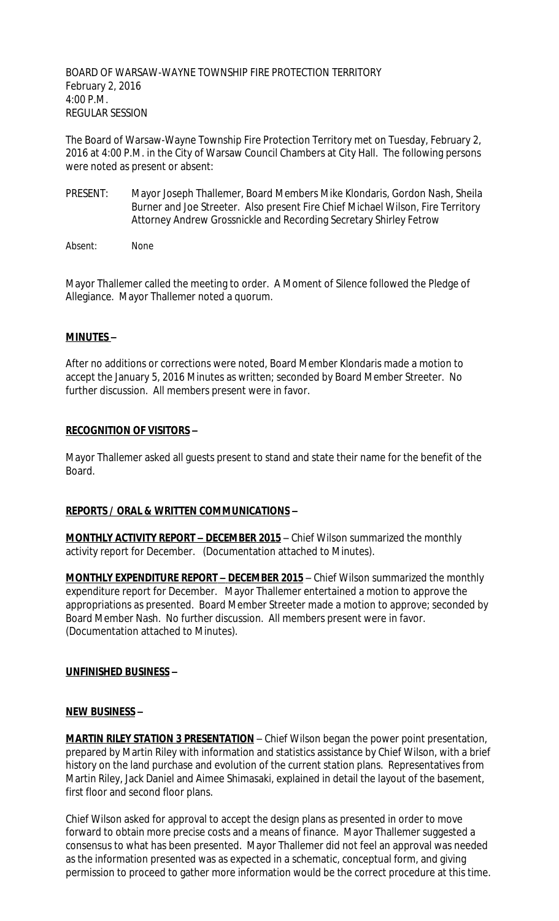BOARD OF WARSAW-WAYNE TOWNSHIP FIRE PROTECTION TERRITORY February 2, 2016 4:00 P.M. REGULAR SESSION

The Board of Warsaw-Wayne Township Fire Protection Territory met on Tuesday, February 2, 2016 at 4:00 P.M. in the City of Warsaw Council Chambers at City Hall. The following persons were noted as present or absent:

- PRESENT: Mayor Joseph Thallemer, Board Members Mike Klondaris, Gordon Nash, Sheila Burner and Joe Streeter. Also present Fire Chief Michael Wilson, Fire Territory Attorney Andrew Grossnickle and Recording Secretary Shirley Fetrow
- Absent: None

Mayor Thallemer called the meeting to order. A Moment of Silence followed the Pledge of Allegiance. Mayor Thallemer noted a quorum.

### **MINUTES –**

After no additions or corrections were noted, Board Member Klondaris made a motion to accept the January 5, 2016 Minutes as written; seconded by Board Member Streeter. No further discussion. All members present were in favor.

#### **RECOGNITION OF VISITORS –**

Mayor Thallemer asked all guests present to stand and state their name for the benefit of the Board.

#### **REPORTS / ORAL & WRITTEN COMMUNICATIONS –**

**MONTHLY ACTIVITY REPORT - DECEMBER 2015** - Chief Wilson summarized the monthly activity report for December. (Documentation attached to Minutes).

**MONTHLY EXPENDITURE REPORT – DECEMBER 2015** – Chief Wilson summarized the monthly expenditure report for December. Mayor Thallemer entertained a motion to approve the appropriations as presented. Board Member Streeter made a motion to approve; seconded by Board Member Nash. No further discussion. All members present were in favor. (Documentation attached to Minutes).

#### **UNFINISHED BUSINESS –**

#### **NEW BUSINESS –**

**MARTIN RILEY STATION 3 PRESENTATION** – Chief Wilson began the power point presentation, prepared by Martin Riley with information and statistics assistance by Chief Wilson, with a brief history on the land purchase and evolution of the current station plans. Representatives from Martin Riley, Jack Daniel and Aimee Shimasaki, explained in detail the layout of the basement, first floor and second floor plans.

Chief Wilson asked for approval to accept the design plans as presented in order to move forward to obtain more precise costs and a means of finance. Mayor Thallemer suggested a consensus to what has been presented. Mayor Thallemer did not feel an approval was needed as the information presented was as expected in a schematic, conceptual form, and giving permission to proceed to gather more information would be the correct procedure at this time.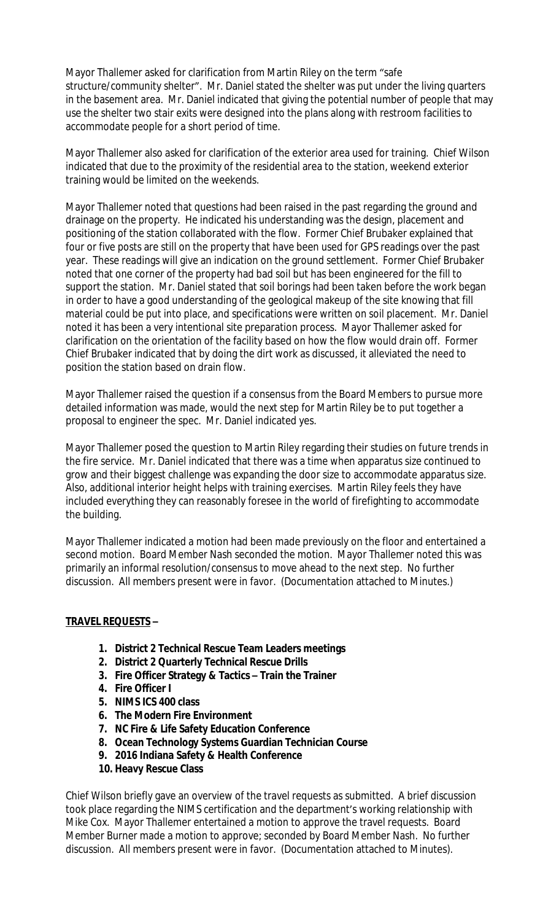Mayor Thallemer asked for clarification from Martin Riley on the term "safe structure/community shelter". Mr. Daniel stated the shelter was put under the living quarters in the basement area. Mr. Daniel indicated that giving the potential number of people that may use the shelter two stair exits were designed into the plans along with restroom facilities to accommodate people for a short period of time.

Mayor Thallemer also asked for clarification of the exterior area used for training. Chief Wilson indicated that due to the proximity of the residential area to the station, weekend exterior training would be limited on the weekends.

Mayor Thallemer noted that questions had been raised in the past regarding the ground and drainage on the property. He indicated his understanding was the design, placement and positioning of the station collaborated with the flow. Former Chief Brubaker explained that four or five posts are still on the property that have been used for GPS readings over the past year. These readings will give an indication on the ground settlement. Former Chief Brubaker noted that one corner of the property had bad soil but has been engineered for the fill to support the station. Mr. Daniel stated that soil borings had been taken before the work began in order to have a good understanding of the geological makeup of the site knowing that fill material could be put into place, and specifications were written on soil placement. Mr. Daniel noted it has been a very intentional site preparation process. Mayor Thallemer asked for clarification on the orientation of the facility based on how the flow would drain off. Former Chief Brubaker indicated that by doing the dirt work as discussed, it alleviated the need to position the station based on drain flow.

Mayor Thallemer raised the question if a consensus from the Board Members to pursue more detailed information was made, would the next step for Martin Riley be to put together a proposal to engineer the spec. Mr. Daniel indicated yes.

Mayor Thallemer posed the question to Martin Riley regarding their studies on future trends in the fire service. Mr. Daniel indicated that there was a time when apparatus size continued to grow and their biggest challenge was expanding the door size to accommodate apparatus size. Also, additional interior height helps with training exercises. Martin Riley feels they have included everything they can reasonably foresee in the world of firefighting to accommodate the building.

Mayor Thallemer indicated a motion had been made previously on the floor and entertained a second motion. Board Member Nash seconded the motion. Mayor Thallemer noted this was primarily an informal resolution/consensus to move ahead to the next step. No further discussion. All members present were in favor. (Documentation attached to Minutes.)

#### **TRAVEL REQUESTS –**

- **1. District 2 Technical Rescue Team Leaders meetings**
- **2. District 2 Quarterly Technical Rescue Drills**
- **3. Fire Officer Strategy & Tactics – Train the Trainer**
- **4. Fire Officer I**
- **5. NIMS ICS 400 class**
- **6. The Modern Fire Environment**
- **7. NC Fire & Life Safety Education Conference**
- **8. Ocean Technology Systems Guardian Technician Course**
- **9. 2016 Indiana Safety & Health Conference**
- **10. Heavy Rescue Class**

Chief Wilson briefly gave an overview of the travel requests as submitted. A brief discussion took place regarding the NIMS certification and the department's working relationship with Mike Cox. Mayor Thallemer entertained a motion to approve the travel requests. Board Member Burner made a motion to approve; seconded by Board Member Nash. No further discussion. All members present were in favor. (Documentation attached to Minutes).